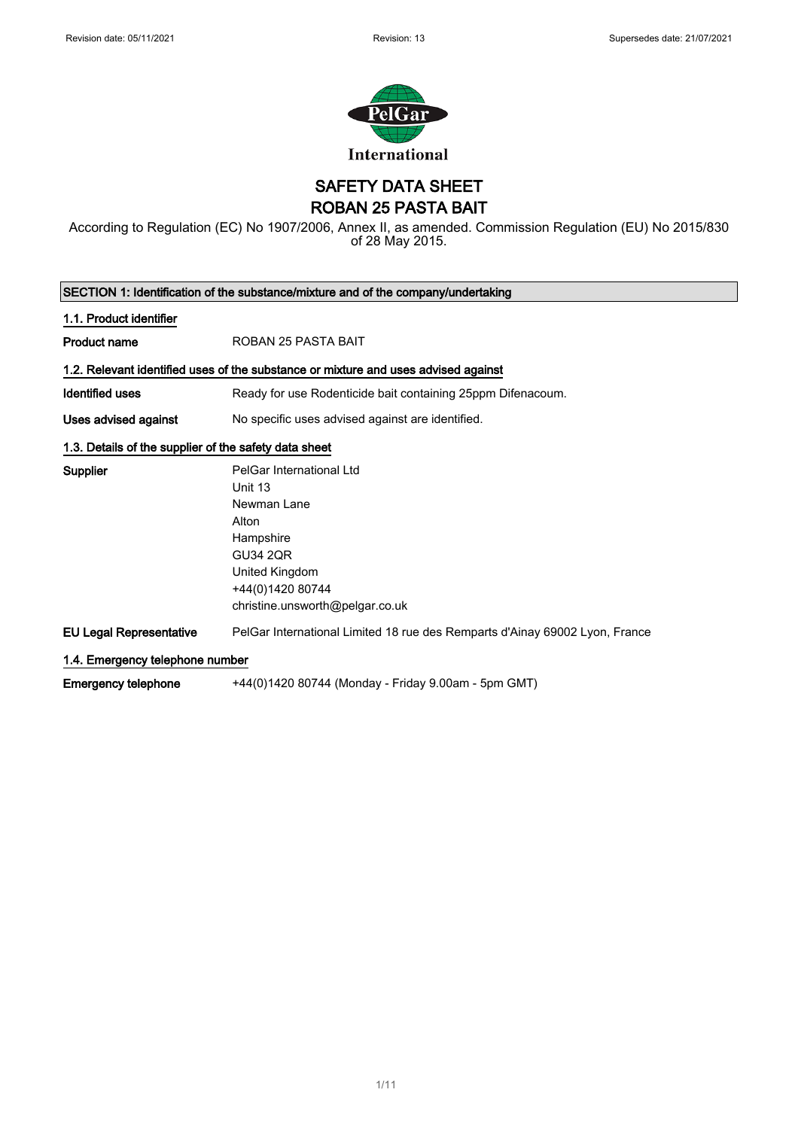

SAFETY DATA SHEET ROBAN 25 PASTA BAIT

According to Regulation (EC) No 1907/2006, Annex II, as amended. Commission Regulation (EU) No 2015/830 of 28 May 2015.

| SECTION 1: Identification of the substance/mixture and of the company/undertaking |                                                                                    |  |  |
|-----------------------------------------------------------------------------------|------------------------------------------------------------------------------------|--|--|
| 1.1. Product identifier                                                           |                                                                                    |  |  |
| <b>Product name</b>                                                               | ROBAN 25 PASTA BAIT                                                                |  |  |
|                                                                                   | 1.2. Relevant identified uses of the substance or mixture and uses advised against |  |  |
| Identified uses                                                                   | Ready for use Rodenticide bait containing 25ppm Difenacoum.                        |  |  |
| Uses advised against                                                              | No specific uses advised against are identified.                                   |  |  |
| 1.3. Details of the supplier of the safety data sheet                             |                                                                                    |  |  |
| <b>Supplier</b>                                                                   | PelGar International Ltd                                                           |  |  |
|                                                                                   | Unit 13                                                                            |  |  |
|                                                                                   | Newman Lane                                                                        |  |  |
|                                                                                   | Alton                                                                              |  |  |
|                                                                                   | Hampshire                                                                          |  |  |
|                                                                                   | <b>GU34 2QR</b>                                                                    |  |  |
|                                                                                   | United Kingdom                                                                     |  |  |
|                                                                                   | +44(0)1420 80744                                                                   |  |  |
|                                                                                   | christine.unsworth@pelgar.co.uk                                                    |  |  |
| <b>EU Legal Representative</b>                                                    | PelGar International Limited 18 rue des Remparts d'Ainay 69002 Lyon, France        |  |  |
| 1.4. Emergency telephone number                                                   |                                                                                    |  |  |
| <b>Emergency telephone</b>                                                        | +44(0)1420 80744 (Monday - Friday 9.00am - 5pm GMT)                                |  |  |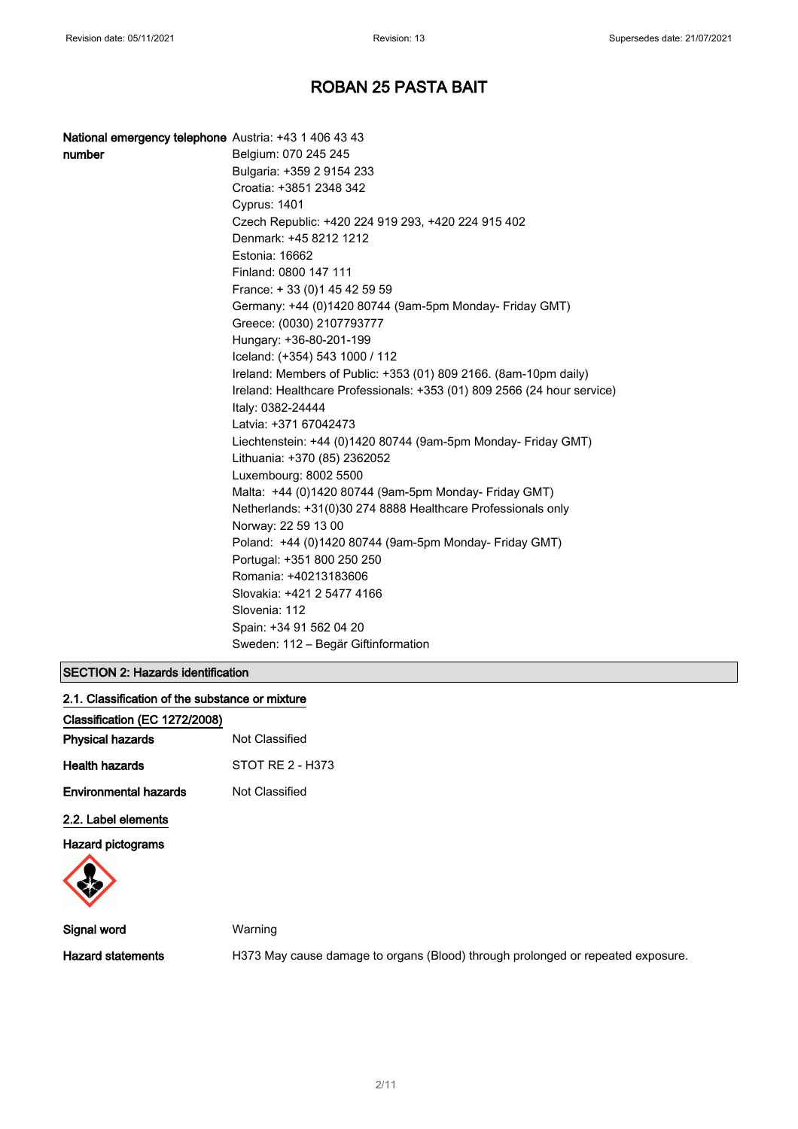| <b>National emergency telephone</b> Austria: +43 1 406 43 43 |                                                                         |
|--------------------------------------------------------------|-------------------------------------------------------------------------|
| number                                                       | Belgium: 070 245 245                                                    |
|                                                              | Bulgaria: +359 2 9154 233                                               |
|                                                              | Croatia: +3851 2348 342                                                 |
|                                                              | <b>Cyprus: 1401</b>                                                     |
|                                                              | Czech Republic: +420 224 919 293, +420 224 915 402                      |
|                                                              | Denmark: +45 8212 1212                                                  |
|                                                              | Estonia: 16662                                                          |
|                                                              | Finland: 0800 147 111                                                   |
|                                                              | France: +33 (0) 145 42 59 59                                            |
|                                                              | Germany: +44 (0)1420 80744 (9am-5pm Monday- Friday GMT)                 |
|                                                              | Greece: (0030) 2107793777                                               |
|                                                              | Hungary: +36-80-201-199                                                 |
|                                                              | Iceland: (+354) 543 1000 / 112                                          |
|                                                              | Ireland: Members of Public: +353 (01) 809 2166. (8am-10pm daily)        |
|                                                              | Ireland: Healthcare Professionals: +353 (01) 809 2566 (24 hour service) |
|                                                              | Italy: 0382-24444                                                       |
|                                                              | Latvia: +371 67042473                                                   |
|                                                              | Liechtenstein: +44 (0)1420 80744 (9am-5pm Monday- Friday GMT)           |
|                                                              | Lithuania: +370 (85) 2362052                                            |
|                                                              | Luxembourg: 8002 5500                                                   |
|                                                              | Malta: +44 (0)1420 80744 (9am-5pm Monday- Friday GMT)                   |
|                                                              | Netherlands: +31(0)30 274 8888 Healthcare Professionals only            |
|                                                              | Norway: 22 59 13 00                                                     |
|                                                              | Poland: +44 (0)1420 80744 (9am-5pm Monday- Friday GMT)                  |
|                                                              | Portugal: +351 800 250 250                                              |
|                                                              | Romania: +40213183606                                                   |
|                                                              | Slovakia: +421 2 5477 4166                                              |
|                                                              | Slovenia: 112                                                           |
|                                                              | Spain: +34 91 562 04 20                                                 |
|                                                              | Sweden: 112 - Begär Giftinformation                                     |

#### SECTION 2: Hazards identification

| 2.1. Classification of the substance or mixture |  |  |
|-------------------------------------------------|--|--|
|                                                 |  |  |

| Classification (EC 1272/2008) |                  |  |
|-------------------------------|------------------|--|
| <b>Physical hazards</b>       | Not Classified   |  |
| Health hazards                | STOT RF 2 - H373 |  |
| <b>Environmental hazards</b>  | Not Classified   |  |
| 2.2. Label elements           |                  |  |

Hazard pictograms



Signal word Warning

Hazard statements **H373 May cause damage to organs (Blood)** through prolonged or repeated exposure.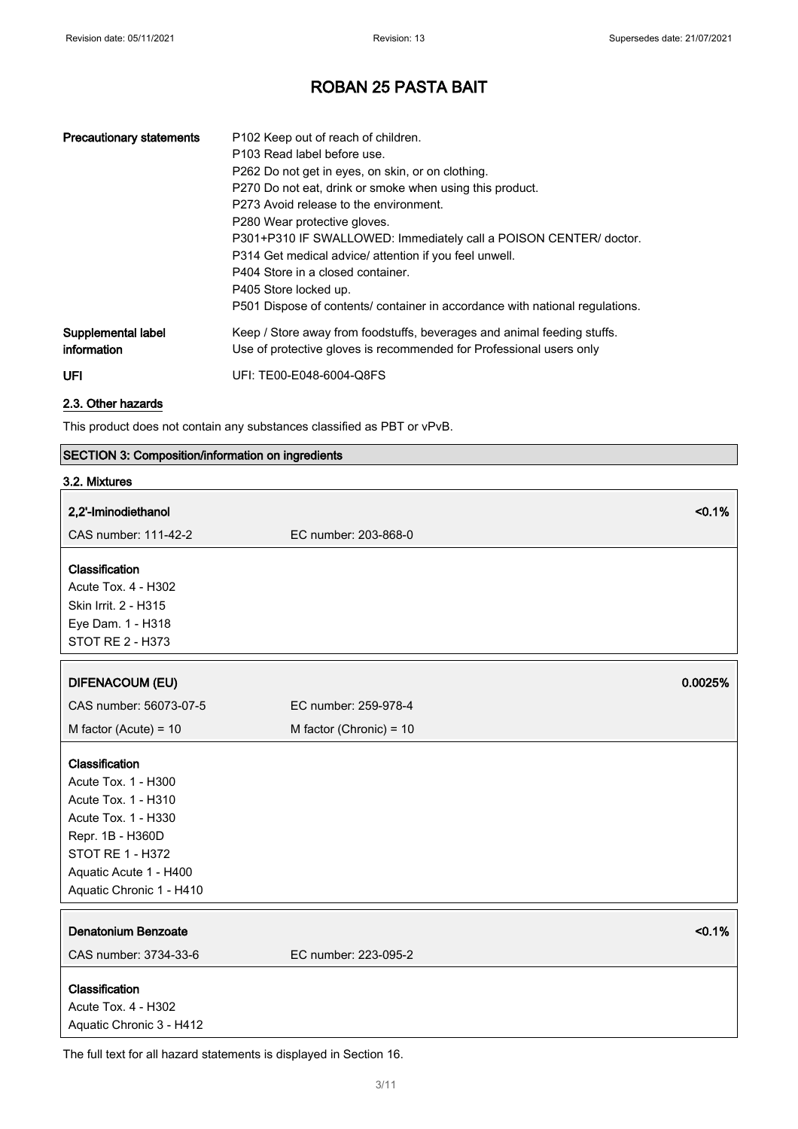| <b>Precautionary statements</b>   | P <sub>102</sub> Keep out of reach of children.<br>P103 Read label before use.<br>P262 Do not get in eyes, on skin, or on clothing.<br>P270 Do not eat, drink or smoke when using this product.<br>P273 Avoid release to the environment.<br>P280 Wear protective gloves.<br>P301+P310 IF SWALLOWED: Immediately call a POISON CENTER/ doctor.<br>P314 Get medical advice/ attention if you feel unwell.<br>P404 Store in a closed container.<br>P405 Store locked up.<br>P501 Dispose of contents/ container in accordance with national regulations. |
|-----------------------------------|--------------------------------------------------------------------------------------------------------------------------------------------------------------------------------------------------------------------------------------------------------------------------------------------------------------------------------------------------------------------------------------------------------------------------------------------------------------------------------------------------------------------------------------------------------|
| Supplemental label<br>information | Keep / Store away from foodstuffs, beverages and animal feeding stuffs.<br>Use of protective gloves is recommended for Professional users only                                                                                                                                                                                                                                                                                                                                                                                                         |
| <b>UFI</b>                        | UFI: TE00-E048-6004-Q8FS                                                                                                                                                                                                                                                                                                                                                                                                                                                                                                                               |

### 2.3. Other hazards

This product does not contain any substances classified as PBT or vPvB.

### SECTION 3: Composition/information on ingredients

| 3.2. Mixtures                                                                                                                                                                     |                                |
|-----------------------------------------------------------------------------------------------------------------------------------------------------------------------------------|--------------------------------|
| 2,2'-Iminodiethanol                                                                                                                                                               | < 0.1%                         |
| CAS number: 111-42-2                                                                                                                                                              | EC number: 203-868-0           |
| Classification<br>Acute Tox. 4 - H302<br>Skin Irrit. 2 - H315<br>Eye Dam. 1 - H318<br>STOT RE 2 - H373                                                                            |                                |
| <b>DIFENACOUM (EU)</b>                                                                                                                                                            | 0.0025%                        |
| CAS number: 56073-07-5                                                                                                                                                            | EC number: 259-978-4           |
| M factor (Acute) = $10$                                                                                                                                                           | M factor (Chronic) = 10        |
| Classification<br>Acute Tox. 1 - H300<br>Acute Tox. 1 - H310<br>Acute Tox. 1 - H330<br>Repr. 1B - H360D<br>STOT RE 1 - H372<br>Aquatic Acute 1 - H400<br>Aquatic Chronic 1 - H410 |                                |
| <b>Denatonium Benzoate</b><br>CAS number: 3734-33-6                                                                                                                               | < 0.1%<br>EC number: 223-095-2 |
| Classification<br>Acute Tox. 4 - H302<br>Aquatic Chronic 3 - H412                                                                                                                 |                                |

The full text for all hazard statements is displayed in Section 16.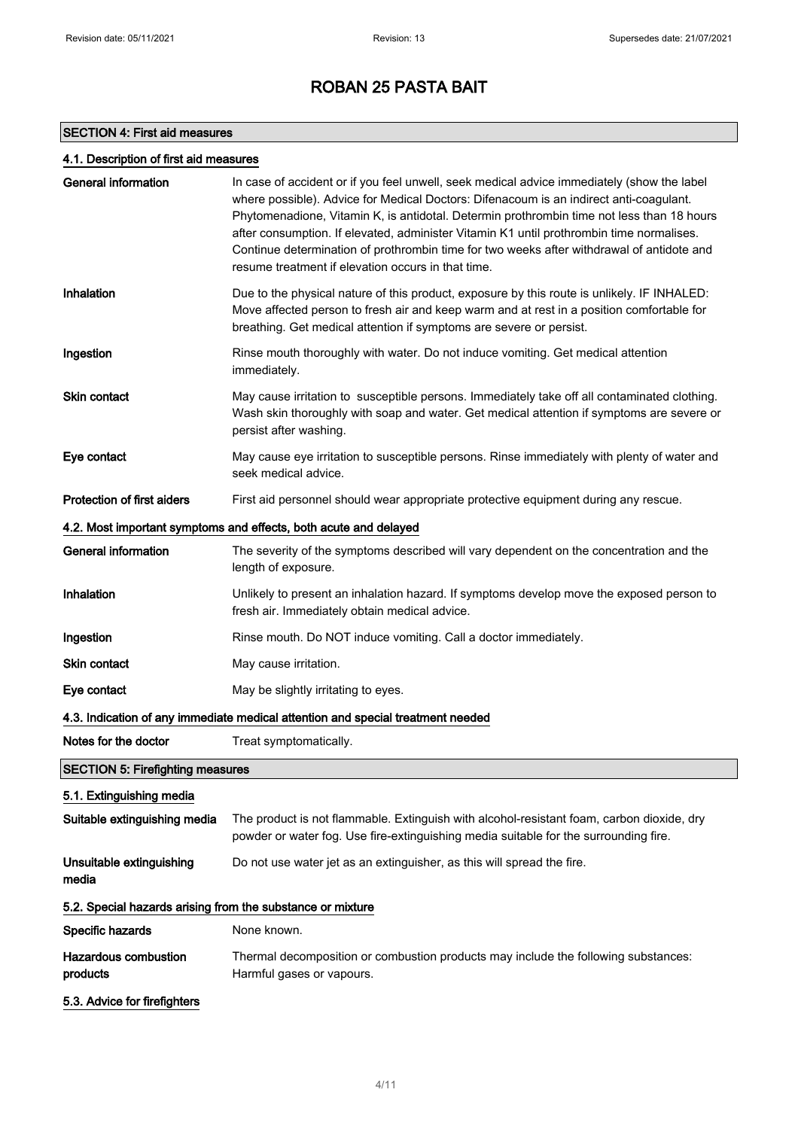### SECTION 4: First aid measures

### 4.1. Description of first aid measures

| <b>General information</b>                                                      | In case of accident or if you feel unwell, seek medical advice immediately (show the label<br>where possible). Advice for Medical Doctors: Difenacoum is an indirect anti-coagulant.<br>Phytomenadione, Vitamin K, is antidotal. Determin prothrombin time not less than 18 hours<br>after consumption. If elevated, administer Vitamin K1 until prothrombin time normalises.<br>Continue determination of prothrombin time for two weeks after withdrawal of antidote and<br>resume treatment if elevation occurs in that time. |  |  |
|---------------------------------------------------------------------------------|----------------------------------------------------------------------------------------------------------------------------------------------------------------------------------------------------------------------------------------------------------------------------------------------------------------------------------------------------------------------------------------------------------------------------------------------------------------------------------------------------------------------------------|--|--|
| Inhalation                                                                      | Due to the physical nature of this product, exposure by this route is unlikely. IF INHALED:<br>Move affected person to fresh air and keep warm and at rest in a position comfortable for<br>breathing. Get medical attention if symptoms are severe or persist.                                                                                                                                                                                                                                                                  |  |  |
| Ingestion                                                                       | Rinse mouth thoroughly with water. Do not induce vomiting. Get medical attention<br>immediately.                                                                                                                                                                                                                                                                                                                                                                                                                                 |  |  |
| Skin contact                                                                    | May cause irritation to susceptible persons. Immediately take off all contaminated clothing.<br>Wash skin thoroughly with soap and water. Get medical attention if symptoms are severe or<br>persist after washing.                                                                                                                                                                                                                                                                                                              |  |  |
| Eye contact                                                                     | May cause eye irritation to susceptible persons. Rinse immediately with plenty of water and<br>seek medical advice.                                                                                                                                                                                                                                                                                                                                                                                                              |  |  |
| Protection of first aiders                                                      | First aid personnel should wear appropriate protective equipment during any rescue.                                                                                                                                                                                                                                                                                                                                                                                                                                              |  |  |
|                                                                                 | 4.2. Most important symptoms and effects, both acute and delayed                                                                                                                                                                                                                                                                                                                                                                                                                                                                 |  |  |
| <b>General information</b>                                                      | The severity of the symptoms described will vary dependent on the concentration and the<br>length of exposure.                                                                                                                                                                                                                                                                                                                                                                                                                   |  |  |
| Inhalation                                                                      | Unlikely to present an inhalation hazard. If symptoms develop move the exposed person to<br>fresh air. Immediately obtain medical advice.                                                                                                                                                                                                                                                                                                                                                                                        |  |  |
| Ingestion                                                                       | Rinse mouth. Do NOT induce vomiting. Call a doctor immediately.                                                                                                                                                                                                                                                                                                                                                                                                                                                                  |  |  |
| Skin contact                                                                    | May cause irritation.                                                                                                                                                                                                                                                                                                                                                                                                                                                                                                            |  |  |
| Eye contact                                                                     | May be slightly irritating to eyes.                                                                                                                                                                                                                                                                                                                                                                                                                                                                                              |  |  |
| 4.3. Indication of any immediate medical attention and special treatment needed |                                                                                                                                                                                                                                                                                                                                                                                                                                                                                                                                  |  |  |
| Notes for the doctor                                                            | Treat symptomatically.                                                                                                                                                                                                                                                                                                                                                                                                                                                                                                           |  |  |
| <b>SECTION 5: Firefighting measures</b>                                         |                                                                                                                                                                                                                                                                                                                                                                                                                                                                                                                                  |  |  |
| 5.1. Extinguishing media                                                        |                                                                                                                                                                                                                                                                                                                                                                                                                                                                                                                                  |  |  |
| Suitable extinguishing media                                                    | The product is not flammable. Extinguish with alcohol-resistant foam, carbon dioxide, dry<br>powder or water fog. Use fire-extinguishing media suitable for the surrounding fire.                                                                                                                                                                                                                                                                                                                                                |  |  |
| Unsuitable extinguishing<br>media                                               | Do not use water jet as an extinguisher, as this will spread the fire.                                                                                                                                                                                                                                                                                                                                                                                                                                                           |  |  |
| 5.2. Special hazards arising from the substance or mixture                      |                                                                                                                                                                                                                                                                                                                                                                                                                                                                                                                                  |  |  |
| Specific hazards                                                                | None known.                                                                                                                                                                                                                                                                                                                                                                                                                                                                                                                      |  |  |
| <b>Hazardous combustion</b><br>products                                         | Thermal decomposition or combustion products may include the following substances:<br>Harmful gases or vapours.                                                                                                                                                                                                                                                                                                                                                                                                                  |  |  |
| 5.3. Advice for firefighters                                                    |                                                                                                                                                                                                                                                                                                                                                                                                                                                                                                                                  |  |  |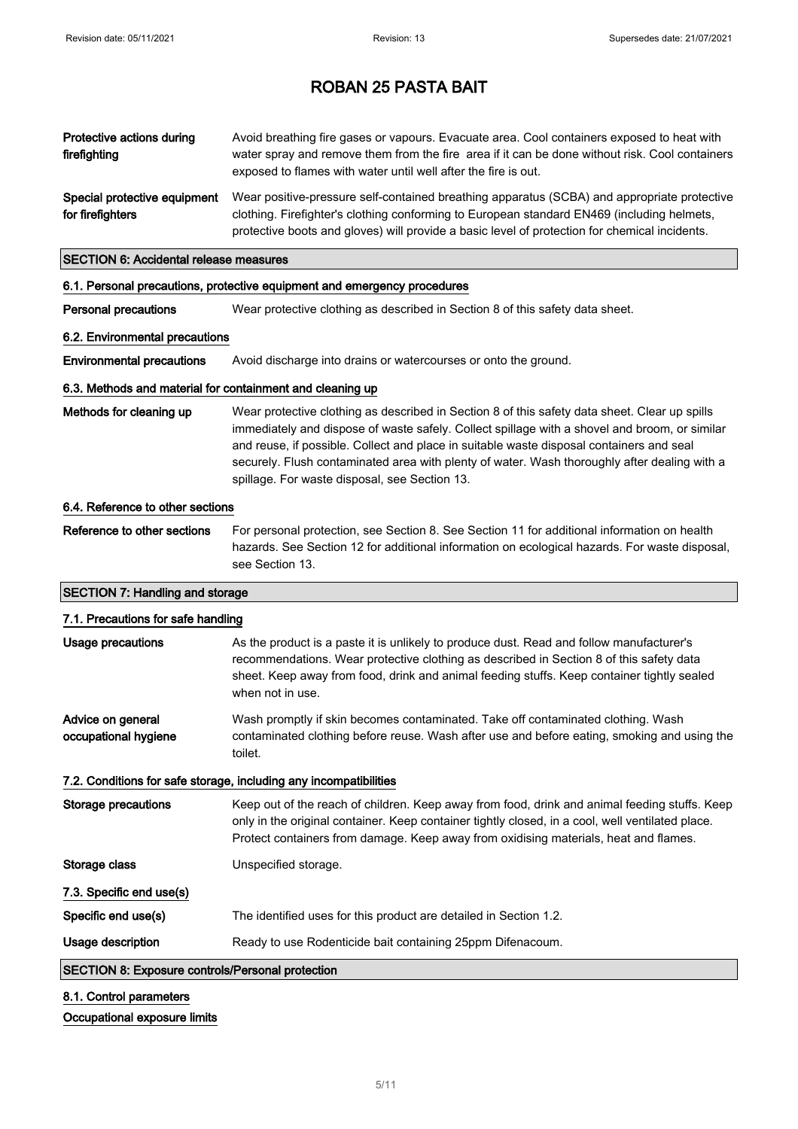| Protective actions during<br>firefighting                 | Avoid breathing fire gases or vapours. Evacuate area. Cool containers exposed to heat with<br>water spray and remove them from the fire area if it can be done without risk. Cool containers<br>exposed to flames with water until well after the fire is out.                                                                                                                                                                              |
|-----------------------------------------------------------|---------------------------------------------------------------------------------------------------------------------------------------------------------------------------------------------------------------------------------------------------------------------------------------------------------------------------------------------------------------------------------------------------------------------------------------------|
| Special protective equipment<br>for firefighters          | Wear positive-pressure self-contained breathing apparatus (SCBA) and appropriate protective<br>clothing. Firefighter's clothing conforming to European standard EN469 (including helmets,<br>protective boots and gloves) will provide a basic level of protection for chemical incidents.                                                                                                                                                  |
| <b>SECTION 6: Accidental release measures</b>             |                                                                                                                                                                                                                                                                                                                                                                                                                                             |
|                                                           | 6.1. Personal precautions, protective equipment and emergency procedures                                                                                                                                                                                                                                                                                                                                                                    |
| <b>Personal precautions</b>                               | Wear protective clothing as described in Section 8 of this safety data sheet.                                                                                                                                                                                                                                                                                                                                                               |
| 6.2. Environmental precautions                            |                                                                                                                                                                                                                                                                                                                                                                                                                                             |
| <b>Environmental precautions</b>                          | Avoid discharge into drains or watercourses or onto the ground.                                                                                                                                                                                                                                                                                                                                                                             |
| 6.3. Methods and material for containment and cleaning up |                                                                                                                                                                                                                                                                                                                                                                                                                                             |
| Methods for cleaning up                                   | Wear protective clothing as described in Section 8 of this safety data sheet. Clear up spills<br>immediately and dispose of waste safely. Collect spillage with a shovel and broom, or similar<br>and reuse, if possible. Collect and place in suitable waste disposal containers and seal<br>securely. Flush contaminated area with plenty of water. Wash thoroughly after dealing with a<br>spillage. For waste disposal, see Section 13. |
| 6.4. Reference to other sections                          |                                                                                                                                                                                                                                                                                                                                                                                                                                             |
| Reference to other sections                               | For personal protection, see Section 8. See Section 11 for additional information on health<br>hazards. See Section 12 for additional information on ecological hazards. For waste disposal,<br>see Section 13.                                                                                                                                                                                                                             |
| <b>SECTION 7: Handling and storage</b>                    |                                                                                                                                                                                                                                                                                                                                                                                                                                             |
| 7.1. Precautions for safe handling                        |                                                                                                                                                                                                                                                                                                                                                                                                                                             |
| <b>Usage precautions</b>                                  | As the product is a paste it is unlikely to produce dust. Read and follow manufacturer's<br>recommendations. Wear protective clothing as described in Section 8 of this safety data<br>sheet. Keep away from food, drink and animal feeding stuffs. Keep container tightly sealed<br>when not in use.                                                                                                                                       |
| Advice on general<br>occupational hygiene                 | Wash promptly if skin becomes contaminated. Take off contaminated clothing. Wash<br>contaminated clothing before reuse. Wash after use and before eating, smoking and using the<br>toilet.                                                                                                                                                                                                                                                  |
|                                                           | 7.2. Conditions for safe storage, including any incompatibilities                                                                                                                                                                                                                                                                                                                                                                           |
| <b>Storage precautions</b>                                | Keep out of the reach of children. Keep away from food, drink and animal feeding stuffs. Keep<br>only in the original container. Keep container tightly closed, in a cool, well ventilated place.<br>Protect containers from damage. Keep away from oxidising materials, heat and flames.                                                                                                                                                   |
| Storage class                                             | Unspecified storage.                                                                                                                                                                                                                                                                                                                                                                                                                        |
| 7.3. Specific end use(s)                                  |                                                                                                                                                                                                                                                                                                                                                                                                                                             |
| Specific end use(s)                                       | The identified uses for this product are detailed in Section 1.2.                                                                                                                                                                                                                                                                                                                                                                           |
| Usage description                                         | Ready to use Rodenticide bait containing 25ppm Difenacoum.                                                                                                                                                                                                                                                                                                                                                                                  |
| <b>SECTION 8: Exposure controls/Personal protection</b>   |                                                                                                                                                                                                                                                                                                                                                                                                                                             |
|                                                           |                                                                                                                                                                                                                                                                                                                                                                                                                                             |

### 8.1. Control parameters

#### Occupational exposure limits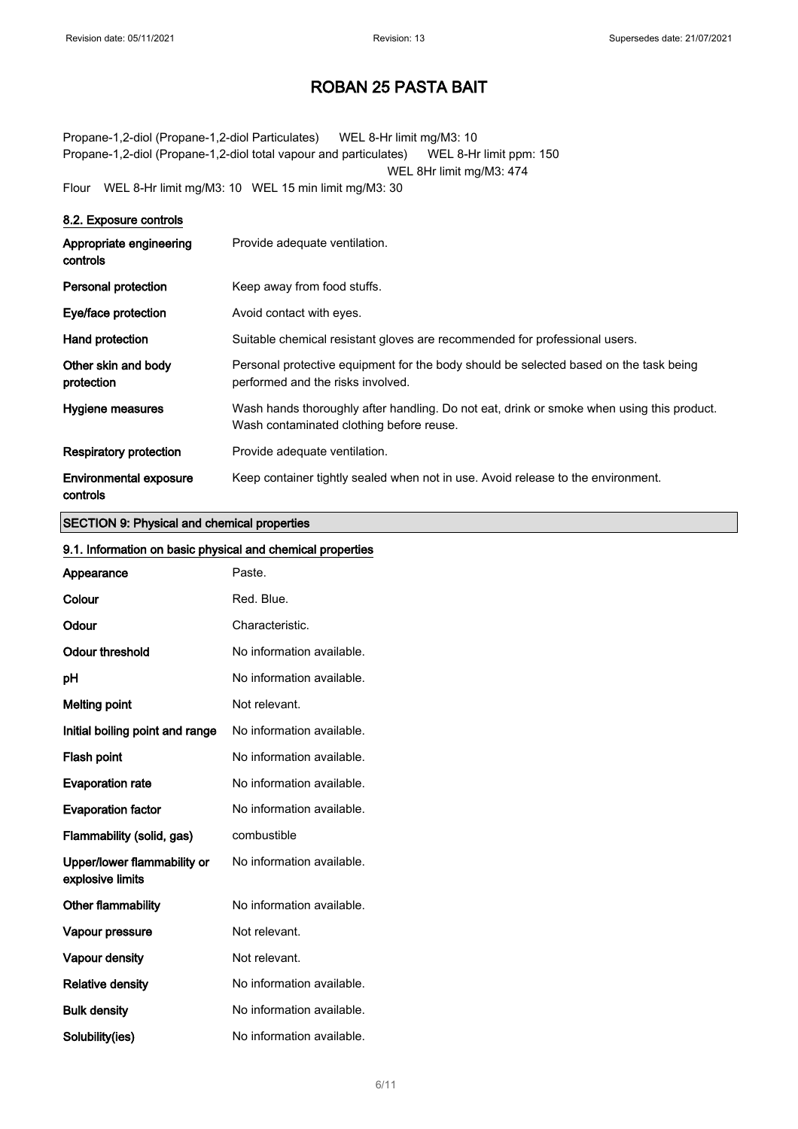Propane-1,2-diol (Propane-1,2-diol Particulates) WEL 8-Hr limit mg/M3: 10 Propane-1,2-diol (Propane-1,2-diol total vapour and particulates) WEL 8-Hr limit ppm: 150 WEL 8Hr limit mg/M3: 474 Flour WEL 8-Hr limit mg/M3: 10 WEL 15 min limit mg/M3: 30

| 8.2. Exposure controls                    |                                                                                                                                       |
|-------------------------------------------|---------------------------------------------------------------------------------------------------------------------------------------|
| Appropriate engineering<br>controls       | Provide adequate ventilation.                                                                                                         |
| <b>Personal protection</b>                | Keep away from food stuffs.                                                                                                           |
| Eye/face protection                       | Avoid contact with eyes.                                                                                                              |
| Hand protection                           | Suitable chemical resistant gloves are recommended for professional users.                                                            |
| Other skin and body<br>protection         | Personal protective equipment for the body should be selected based on the task being<br>performed and the risks involved.            |
| Hygiene measures                          | Wash hands thoroughly after handling. Do not eat, drink or smoke when using this product.<br>Wash contaminated clothing before reuse. |
| <b>Respiratory protection</b>             | Provide adequate ventilation.                                                                                                         |
| <b>Environmental exposure</b><br>controls | Keep container tightly sealed when not in use. Avoid release to the environment.                                                      |

#### SECTION 9: Physical and chemical properties

#### 9.1. Information on basic physical and chemical properties

| 9. 1. INNUMBRION ON DASIC PHYSICAL AND CHEMICAL PROPERTIES |                           |
|------------------------------------------------------------|---------------------------|
| Appearance                                                 | Paste.                    |
| Colour                                                     | Red. Blue.                |
| Odour                                                      | Characteristic.           |
| <b>Odour threshold</b>                                     | No information available. |
| pH                                                         | No information available. |
| <b>Melting point</b>                                       | Not relevant.             |
| Initial boiling point and range                            | No information available. |
| Flash point                                                | No information available. |
| <b>Evaporation rate</b>                                    | No information available. |
| <b>Evaporation factor</b>                                  | No information available. |
| Flammability (solid, gas)                                  | combustible               |
| Upper/lower flammability or<br>explosive limits            | No information available. |
| Other flammability                                         | No information available. |
| Vapour pressure                                            | Not relevant.             |
| Vapour density                                             | Not relevant.             |
| <b>Relative density</b>                                    | No information available. |
| <b>Bulk density</b>                                        | No information available. |
| Solubility(ies)                                            | No information available. |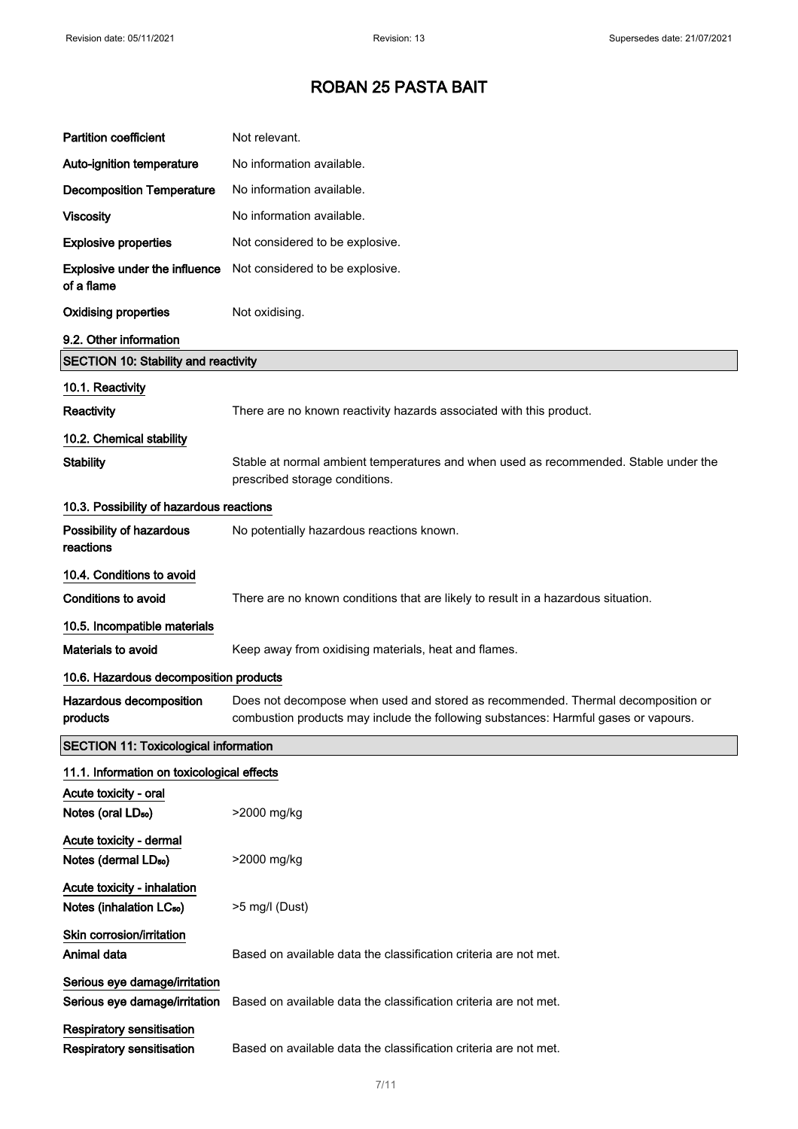| <b>Partition coefficient</b>                                        | Not relevant.                                                                                                                                                           |
|---------------------------------------------------------------------|-------------------------------------------------------------------------------------------------------------------------------------------------------------------------|
| Auto-ignition temperature                                           | No information available.                                                                                                                                               |
| <b>Decomposition Temperature</b>                                    | No information available.                                                                                                                                               |
| <b>Viscosity</b>                                                    | No information available.                                                                                                                                               |
| <b>Explosive properties</b>                                         | Not considered to be explosive.                                                                                                                                         |
| Explosive under the influence<br>of a flame                         | Not considered to be explosive.                                                                                                                                         |
| <b>Oxidising properties</b>                                         | Not oxidising.                                                                                                                                                          |
| 9.2. Other information                                              |                                                                                                                                                                         |
| <b>SECTION 10: Stability and reactivity</b>                         |                                                                                                                                                                         |
| 10.1. Reactivity                                                    |                                                                                                                                                                         |
| <b>Reactivity</b>                                                   | There are no known reactivity hazards associated with this product.                                                                                                     |
| 10.2. Chemical stability                                            |                                                                                                                                                                         |
| <b>Stability</b>                                                    | Stable at normal ambient temperatures and when used as recommended. Stable under the<br>prescribed storage conditions.                                                  |
| 10.3. Possibility of hazardous reactions                            |                                                                                                                                                                         |
| Possibility of hazardous<br>reactions                               | No potentially hazardous reactions known.                                                                                                                               |
| 10.4. Conditions to avoid                                           |                                                                                                                                                                         |
| <b>Conditions to avoid</b>                                          | There are no known conditions that are likely to result in a hazardous situation.                                                                                       |
| 10.5. Incompatible materials                                        |                                                                                                                                                                         |
| Materials to avoid                                                  | Keep away from oxidising materials, heat and flames.                                                                                                                    |
| 10.6. Hazardous decomposition products                              |                                                                                                                                                                         |
| Hazardous decomposition<br>products                                 | Does not decompose when used and stored as recommended. Thermal decomposition or<br>combustion products may include the following substances: Harmful gases or vapours. |
| <b>SECTION 11: Toxicological information</b>                        |                                                                                                                                                                         |
| 11.1. Information on toxicological effects                          |                                                                                                                                                                         |
| Acute toxicity - oral<br>Notes (oral LD <sub>50</sub> )             | >2000 mg/kg                                                                                                                                                             |
| Acute toxicity - dermal<br>Notes (dermal LD <sub>50</sub> )         | >2000 mg/kg                                                                                                                                                             |
| Acute toxicity - inhalation<br>Notes (inhalation LC <sub>50</sub> ) | >5 mg/l (Dust)                                                                                                                                                          |
| Skin corrosion/irritation<br>Animal data                            | Based on available data the classification criteria are not met.                                                                                                        |
| Serious eye damage/irritation<br>Serious eye damage/irritation      | Based on available data the classification criteria are not met.                                                                                                        |
| Respiratory sensitisation<br>Respiratory sensitisation              | Based on available data the classification criteria are not met.                                                                                                        |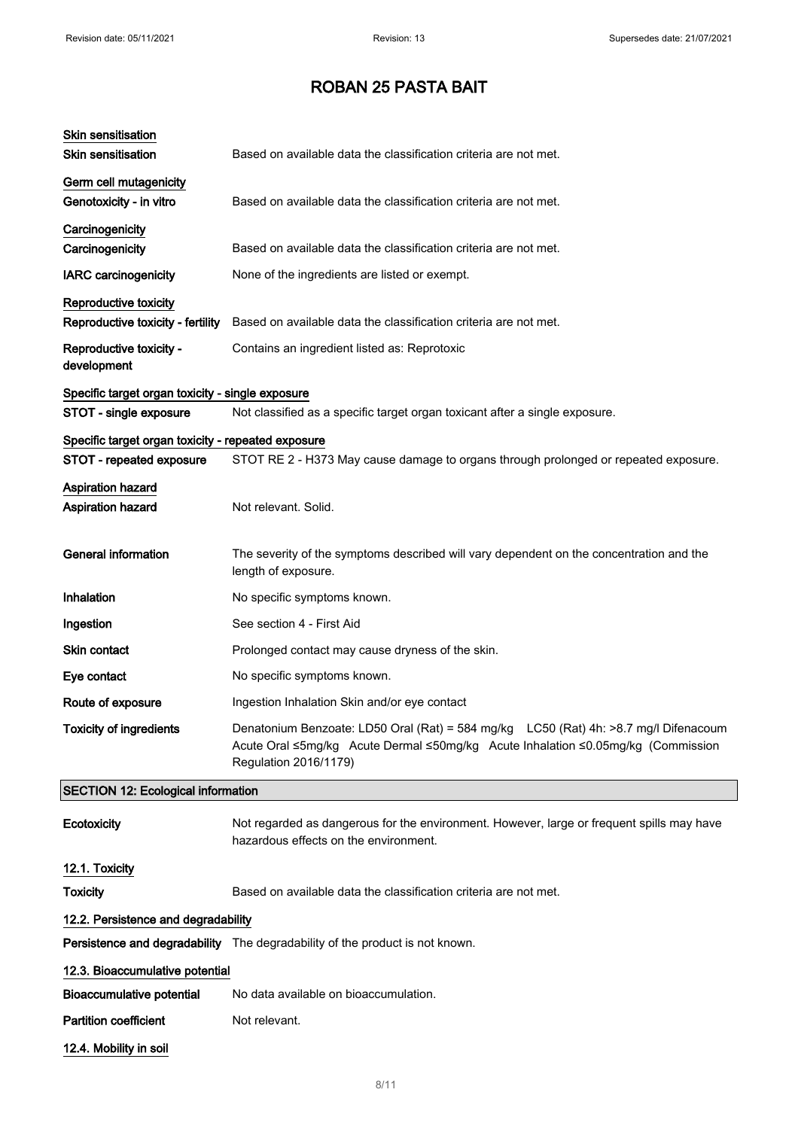| <b>Skin sensitisation</b><br><b>Skin sensitisation</b>     | Based on available data the classification criteria are not met.                                                                                                                                  |  |
|------------------------------------------------------------|---------------------------------------------------------------------------------------------------------------------------------------------------------------------------------------------------|--|
| Germ cell mutagenicity<br>Genotoxicity - in vitro          | Based on available data the classification criteria are not met.                                                                                                                                  |  |
| Carcinogenicity<br>Carcinogenicity                         | Based on available data the classification criteria are not met.                                                                                                                                  |  |
| <b>IARC</b> carcinogenicity                                | None of the ingredients are listed or exempt.                                                                                                                                                     |  |
| Reproductive toxicity<br>Reproductive toxicity - fertility | Based on available data the classification criteria are not met.                                                                                                                                  |  |
| Reproductive toxicity -<br>development                     | Contains an ingredient listed as: Reprotoxic                                                                                                                                                      |  |
| Specific target organ toxicity - single exposure           |                                                                                                                                                                                                   |  |
| STOT - single exposure                                     | Not classified as a specific target organ toxicant after a single exposure.                                                                                                                       |  |
| Specific target organ toxicity - repeated exposure         |                                                                                                                                                                                                   |  |
| STOT - repeated exposure                                   | STOT RE 2 - H373 May cause damage to organs through prolonged or repeated exposure.                                                                                                               |  |
| <b>Aspiration hazard</b><br>Aspiration hazard              | Not relevant. Solid.                                                                                                                                                                              |  |
| <b>General information</b>                                 | The severity of the symptoms described will vary dependent on the concentration and the<br>length of exposure.                                                                                    |  |
| Inhalation                                                 | No specific symptoms known.                                                                                                                                                                       |  |
| Ingestion                                                  | See section 4 - First Aid                                                                                                                                                                         |  |
| <b>Skin contact</b>                                        | Prolonged contact may cause dryness of the skin.                                                                                                                                                  |  |
| Eye contact                                                | No specific symptoms known.                                                                                                                                                                       |  |
| Route of exposure                                          | Ingestion Inhalation Skin and/or eye contact                                                                                                                                                      |  |
| <b>Toxicity of ingredients</b>                             | Denatonium Benzoate: LD50 Oral (Rat) = 584 mg/kg LC50 (Rat) 4h: >8.7 mg/l Difenacoum<br>Acute Oral ≤5mg/kg Acute Dermal ≤50mg/kg Acute Inhalation ≤0.05mg/kg (Commission<br>Regulation 2016/1179) |  |
| <b>SECTION 12: Ecological information</b>                  |                                                                                                                                                                                                   |  |
| Ecotoxicity                                                | Not regarded as dangerous for the environment. However, large or frequent spills may have<br>hazardous effects on the environment.                                                                |  |
| 12.1. Toxicity                                             |                                                                                                                                                                                                   |  |
| <b>Toxicity</b>                                            | Based on available data the classification criteria are not met.                                                                                                                                  |  |
| 12.2. Persistence and degradability                        |                                                                                                                                                                                                   |  |
|                                                            | Persistence and degradability The degradability of the product is not known.                                                                                                                      |  |
| 12.3. Bioaccumulative potential                            |                                                                                                                                                                                                   |  |
| <b>Bioaccumulative potential</b>                           | No data available on bioaccumulation.                                                                                                                                                             |  |
| <b>Partition coefficient</b>                               | Not relevant.                                                                                                                                                                                     |  |
| 12.4. Mobility in soil                                     |                                                                                                                                                                                                   |  |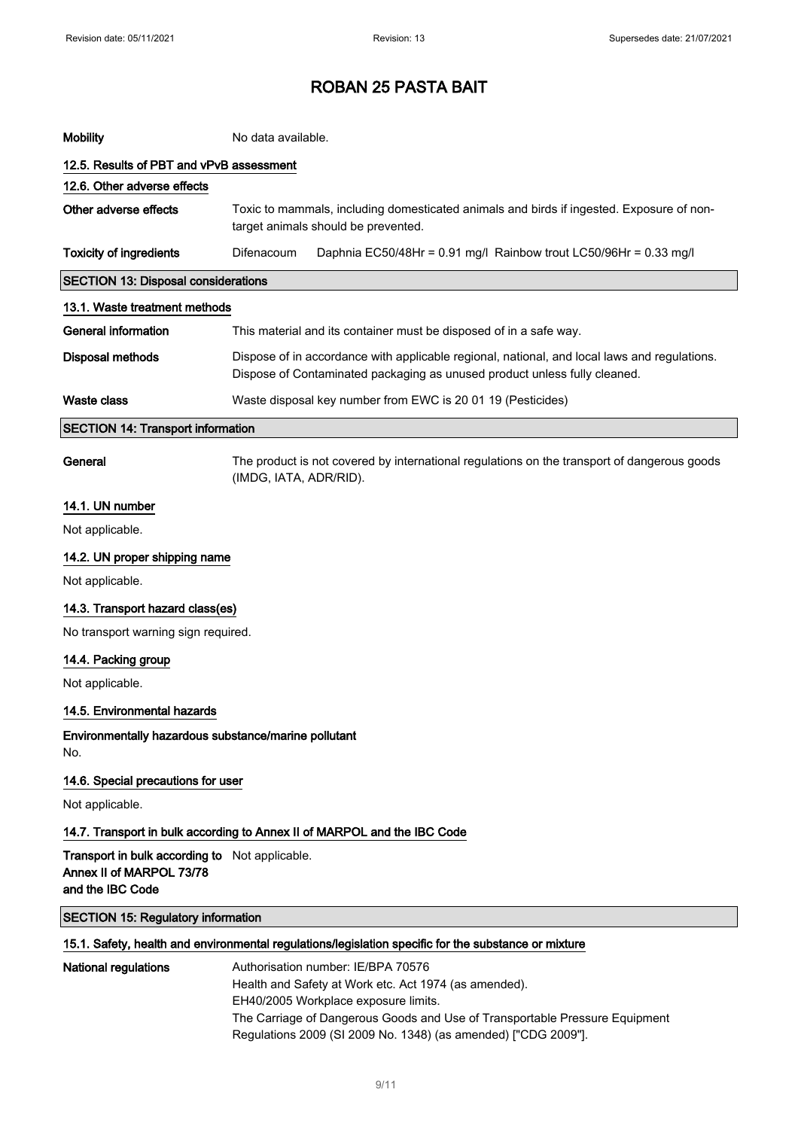| <b>Mobility</b>                                                                                      | No data available.                                                                                                                                                        |  |
|------------------------------------------------------------------------------------------------------|---------------------------------------------------------------------------------------------------------------------------------------------------------------------------|--|
| 12.5. Results of PBT and vPvB assessment                                                             |                                                                                                                                                                           |  |
| 12.6. Other adverse effects                                                                          |                                                                                                                                                                           |  |
| Other adverse effects                                                                                | Toxic to mammals, including domesticated animals and birds if ingested. Exposure of non-<br>target animals should be prevented.                                           |  |
| <b>Toxicity of ingredients</b>                                                                       | Difenacoum<br>Daphnia EC50/48Hr = 0.91 mg/l Rainbow trout LC50/96Hr = 0.33 mg/l                                                                                           |  |
| <b>SECTION 13: Disposal considerations</b>                                                           |                                                                                                                                                                           |  |
| 13.1. Waste treatment methods                                                                        |                                                                                                                                                                           |  |
| <b>General information</b>                                                                           | This material and its container must be disposed of in a safe way.                                                                                                        |  |
| <b>Disposal methods</b>                                                                              | Dispose of in accordance with applicable regional, national, and local laws and regulations.<br>Dispose of Contaminated packaging as unused product unless fully cleaned. |  |
| <b>Waste class</b>                                                                                   | Waste disposal key number from EWC is 20 01 19 (Pesticides)                                                                                                               |  |
| <b>SECTION 14: Transport information</b>                                                             |                                                                                                                                                                           |  |
| General                                                                                              | The product is not covered by international regulations on the transport of dangerous goods<br>(IMDG, IATA, ADR/RID).                                                     |  |
| 14.1. UN number                                                                                      |                                                                                                                                                                           |  |
| Not applicable.                                                                                      |                                                                                                                                                                           |  |
| 14.2. UN proper shipping name                                                                        |                                                                                                                                                                           |  |
| Not applicable.                                                                                      |                                                                                                                                                                           |  |
| 14.3. Transport hazard class(es)                                                                     |                                                                                                                                                                           |  |
| No transport warning sign required.                                                                  |                                                                                                                                                                           |  |
| 14.4. Packing group                                                                                  |                                                                                                                                                                           |  |
| Not applicable.                                                                                      |                                                                                                                                                                           |  |
| 14.5. Environmental hazards                                                                          |                                                                                                                                                                           |  |
| Environmentally hazardous substance/marine pollutant<br>No.                                          |                                                                                                                                                                           |  |
| 14.6. Special precautions for user                                                                   |                                                                                                                                                                           |  |
| Not applicable.                                                                                      |                                                                                                                                                                           |  |
| 14.7. Transport in bulk according to Annex II of MARPOL and the IBC Code                             |                                                                                                                                                                           |  |
| Transport in bulk according to Not applicable.<br>Annex II of MARPOL 73/78<br>and the IBC Code       |                                                                                                                                                                           |  |
| <b>SECTION 15: Regulatory information</b>                                                            |                                                                                                                                                                           |  |
| 15.1. Safety, health and environmental regulations/legislation specific for the substance or mixture |                                                                                                                                                                           |  |
| <b>National regulations</b>                                                                          | Authorisation number: IE/BPA 70576<br>Health and Safety at Work etc. Act 1974 (as amended).                                                                               |  |

EH40/2005 Workplace exposure limits.

The Carriage of Dangerous Goods and Use of Transportable Pressure Equipment Regulations 2009 (SI 2009 No. 1348) (as amended) ["CDG 2009"].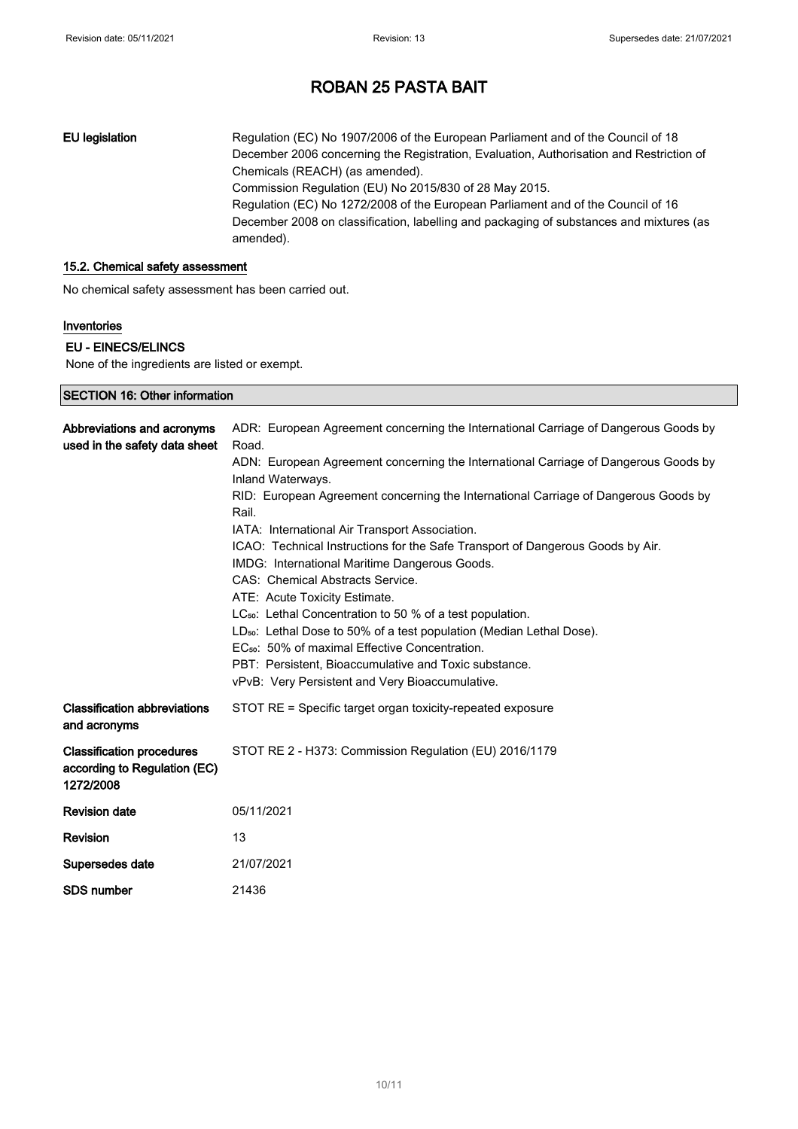EU legislation Regulation (EC) No 1907/2006 of the European Parliament and of the Council of 18 December 2006 concerning the Registration, Evaluation, Authorisation and Restriction of Chemicals (REACH) (as amended). Commission Regulation (EU) No 2015/830 of 28 May 2015. Regulation (EC) No 1272/2008 of the European Parliament and of the Council of 16 December 2008 on classification, labelling and packaging of substances and mixtures (as amended).

#### 15.2. Chemical safety assessment

No chemical safety assessment has been carried out.

#### Inventories

#### EU - EINECS/ELINCS

SECTION 16: Other information

None of the ingredients are listed or exempt.

| LOTION TO. OGIOI IMPRIMADO                                                    |                                                                                                                                                                                                                                                                                                                                                                                                                                                                                                                                                                                                                                                                                                                                                                                                                                                                                                           |
|-------------------------------------------------------------------------------|-----------------------------------------------------------------------------------------------------------------------------------------------------------------------------------------------------------------------------------------------------------------------------------------------------------------------------------------------------------------------------------------------------------------------------------------------------------------------------------------------------------------------------------------------------------------------------------------------------------------------------------------------------------------------------------------------------------------------------------------------------------------------------------------------------------------------------------------------------------------------------------------------------------|
| Abbreviations and acronyms<br>used in the safety data sheet                   | ADR: European Agreement concerning the International Carriage of Dangerous Goods by<br>Road.<br>ADN: European Agreement concerning the International Carriage of Dangerous Goods by<br>Inland Waterways.<br>RID: European Agreement concerning the International Carriage of Dangerous Goods by<br>Rail.<br>IATA: International Air Transport Association.<br>ICAO: Technical Instructions for the Safe Transport of Dangerous Goods by Air.<br>IMDG: International Maritime Dangerous Goods.<br>CAS: Chemical Abstracts Service.<br>ATE: Acute Toxicity Estimate.<br>LC <sub>50</sub> : Lethal Concentration to 50 % of a test population.<br>LD <sub>50</sub> : Lethal Dose to 50% of a test population (Median Lethal Dose).<br>EC <sub>50</sub> : 50% of maximal Effective Concentration.<br>PBT: Persistent, Bioaccumulative and Toxic substance.<br>vPvB: Very Persistent and Very Bioaccumulative. |
| <b>Classification abbreviations</b><br>and acronyms                           | STOT RE = Specific target organ toxicity-repeated exposure                                                                                                                                                                                                                                                                                                                                                                                                                                                                                                                                                                                                                                                                                                                                                                                                                                                |
| <b>Classification procedures</b><br>according to Regulation (EC)<br>1272/2008 | STOT RE 2 - H373: Commission Regulation (EU) 2016/1179                                                                                                                                                                                                                                                                                                                                                                                                                                                                                                                                                                                                                                                                                                                                                                                                                                                    |
| <b>Revision date</b>                                                          | 05/11/2021                                                                                                                                                                                                                                                                                                                                                                                                                                                                                                                                                                                                                                                                                                                                                                                                                                                                                                |
| <b>Revision</b>                                                               | 13                                                                                                                                                                                                                                                                                                                                                                                                                                                                                                                                                                                                                                                                                                                                                                                                                                                                                                        |
| Supersedes date                                                               | 21/07/2021                                                                                                                                                                                                                                                                                                                                                                                                                                                                                                                                                                                                                                                                                                                                                                                                                                                                                                |
| <b>SDS number</b>                                                             | 21436                                                                                                                                                                                                                                                                                                                                                                                                                                                                                                                                                                                                                                                                                                                                                                                                                                                                                                     |